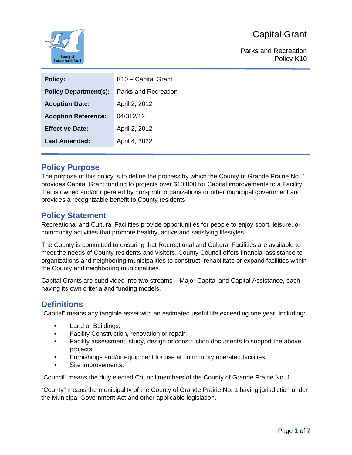

Parks and Recreation Policy K10

| <b>Policy:</b>               | K10 - Capital Grant         |
|------------------------------|-----------------------------|
| <b>Policy Department(s):</b> | <b>Parks and Recreation</b> |
| <b>Adoption Date:</b>        | April 2, 2012               |
| <b>Adoption Reference:</b>   | 04/312/12                   |
| <b>Effective Date:</b>       | April 2, 2012               |
| <b>Last Amended:</b>         | April 4, 2022               |
|                              |                             |

## **Policy Purpose**

The purpose of this policy is to define the process by which the County of Grande Prairie No. 1 provides Capital Grant funding to projects over \$10,000 for Capital improvements to a Facility that is owned and/or operated by non-profit organizations or other municipal government and provides a recognizable benefit to County residents.

### **Policy Statement**

Recreational and Cultural Facilities provide opportunities for people to enjoy sport, leisure, or community activities that promote healthy, active and satisfying lifestyles.

The County is committed to ensuring that Recreational and Cultural Facilities are available to meet the needs of County residents and visitors. County Council offers financial assistance to organizations and neighboring municipalities to construct, rehabilitate or expand facilities within the County and neighboring municipalities.

Capital Grants are subdivided into two streams – Major Capital and Capital Assistance, each having its own criteria and funding models.

#### **Definitions**

"Capital" means any tangible asset with an estimated useful life exceeding one year, including:

- Land or Buildings;
- Facility Construction, renovation or repair;
- Facility assessment, study, design or construction documents to support the above projects;
- Furnishings and/or equipment for use at community operated facilities;
- Site improvements.

"Council" means the duly elected Council members of the County of Grande Prairie No. 1

"County" means the municipality of the County of Grande Prairie No. 1 having jurisdiction under the Municipal Government Act and other applicable legislation.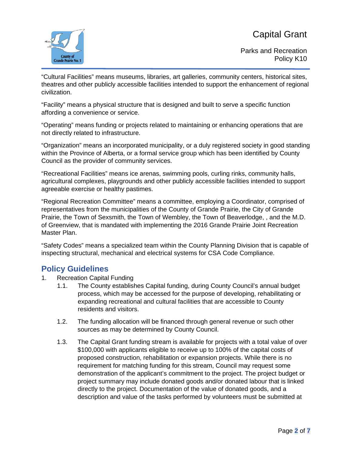

Parks and Recreation Policy K10

"Cultural Facilities" means museums, libraries, art galleries, community centers, historical sites, theatres and other publicly accessible facilities intended to support the enhancement of regional civilization.

"Facility" means a physical structure that is designed and built to serve a specific function affording a convenience or service.

"Operating" means funding or projects related to maintaining or enhancing operations that are not directly related to infrastructure.

"Organization" means an incorporated municipality, or a duly registered society in good standing within the Province of Alberta, or a formal service group which has been identified by County Council as the provider of community services.

"Recreational Facilities" means ice arenas, swimming pools, curling rinks, community halls, agricultural complexes, playgrounds and other publicly accessible facilities intended to support agreeable exercise or healthy pastimes.

"Regional Recreation Committee" means a committee, employing a Coordinator, comprised of representatives from the municipalities of the County of Grande Prairie, the City of Grande Prairie, the Town of Sexsmith, the Town of Wembley, the Town of Beaverlodge, , and the M.D. of Greenview, that is mandated with implementing the 2016 Grande Prairie Joint Recreation Master Plan.

"Safety Codes" means a specialized team within the County Planning Division that is capable of inspecting structural, mechanical and electrical systems for CSA Code Compliance.

### **Policy Guidelines**

- 1. Recreation Capital Funding
	- 1.1. The County establishes Capital funding, during County Council's annual budget process, which may be accessed for the purpose of developing, rehabilitating or expanding recreational and cultural facilities that are accessible to County residents and visitors.
	- 1.2. The funding allocation will be financed through general revenue or such other sources as may be determined by County Council.
	- 1.3. The Capital Grant funding stream is available for projects with a total value of over \$100,000 with applicants eligible to receive up to 100% of the capital costs of proposed construction, rehabilitation or expansion projects. While there is no requirement for matching funding for this stream, Council may request some demonstration of the applicant's commitment to the project. The project budget or project summary may include donated goods and/or donated labour that is linked directly to the project. Documentation of the value of donated goods, and a description and value of the tasks performed by volunteers must be submitted at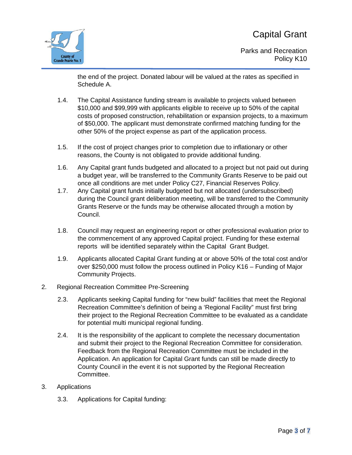

Parks and Recreation Policy K10

the end of the project. Donated labour will be valued at the rates as specified in Schedule A.

- 1.4. The Capital Assistance funding stream is available to projects valued between \$10,000 and \$99,999 with applicants eligible to receive up to 50% of the capital costs of proposed construction, rehabilitation or expansion projects, to a maximum of \$50,000. The applicant must demonstrate confirmed matching funding for the other 50% of the project expense as part of the application process.
- 1.5. If the cost of project changes prior to completion due to inflationary or other reasons, the County is not obligated to provide additional funding.
- 1.6. Any Capital grant funds budgeted and allocated to a project but not paid out during a budget year, will be transferred to the Community Grants Reserve to be paid out once all conditions are met under Policy C27, Financial Reserves Policy.
- 1.7. Any Capital grant funds initially budgeted but not allocated (undersubscribed) during the Council grant deliberation meeting, will be transferred to the Community Grants Reserve or the funds may be otherwise allocated through a motion by Council.
- 1.8. Council may request an engineering report or other professional evaluation prior to the commencement of any approved Capital project. Funding for these external reports will be identified separately within the Capital Grant Budget.
- 1.9. Applicants allocated Capital Grant funding at or above 50% of the total cost and/or over \$250,000 must follow the process outlined in Policy K16 – Funding of Major Community Projects.
- 2. Regional Recreation Committee Pre-Screening
	- 2.3. Applicants seeking Capital funding for "new build" facilities that meet the Regional Recreation Committee's definition of being a 'Regional Facility" must first bring their project to the Regional Recreation Committee to be evaluated as a candidate for potential multi municipal regional funding.
	- 2.4. It is the responsibility of the applicant to complete the necessary documentation and submit their project to the Regional Recreation Committee for consideration. Feedback from the Regional Recreation Committee must be included in the Application. An application for Capital Grant funds can still be made directly to County Council in the event it is not supported by the Regional Recreation Committee.
- 3. Applications
	- 3.3. Applications for Capital funding: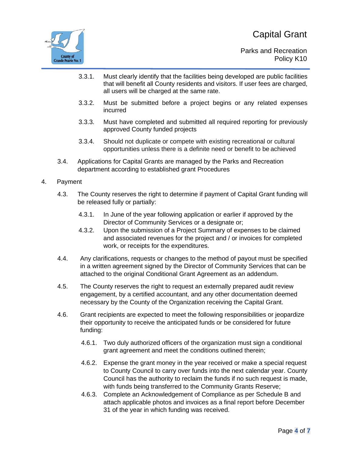

- 3.3.1. Must clearly identify that the facilities being developed are public facilities that will benefit all County residents and visitors. If user fees are charged, all users will be charged at the same rate.
- 3.3.2. Must be submitted before a project begins or any related expenses incurred
- 3.3.3. Must have completed and submitted all required reporting for previously approved County funded projects
- 3.3.4. Should not duplicate or compete with existing recreational or cultural opportunities unless there is a definite need or benefit to be achieved
- 3.4. Applications for Capital Grants are managed by the Parks and Recreation department according to established grant Procedures
- 4. Payment
	- 4.3. The County reserves the right to determine if payment of Capital Grant funding will be released fully or partially:
		- 4.3.1. In June of the year following application or earlier if approved by the Director of Community Services or a designate or;
		- 4.3.2. Upon the submission of a Project Summary of expenses to be claimed and associated revenues for the project and / or invoices for completed work, or receipts for the expenditures.
	- 4.4. Any clarifications, requests or changes to the method of payout must be specified in a written agreement signed by the Director of Community Services that can be attached to the original Conditional Grant Agreement as an addendum.
	- 4.5. The County reserves the right to request an externally prepared audit review engagement, by a certified accountant, and any other documentation deemed necessary by the County of the Organization receiving the Capital Grant.
	- 4.6. Grant recipients are expected to meet the following responsibilities or jeopardize their opportunity to receive the anticipated funds or be considered for future funding:
		- 4.6.1. Two duly authorized officers of the organization must sign a conditional grant agreement and meet the conditions outlined therein;
		- 4.6.2. Expense the grant money in the year received or make a special request to County Council to carry over funds into the next calendar year. County Council has the authority to reclaim the funds if no such request is made, with funds being transferred to the Community Grants Reserve;
		- 4.6.3. Complete an Acknowledgement of Compliance as per Schedule B and attach applicable photos and invoices as a final report before December 31 of the year in which funding was received.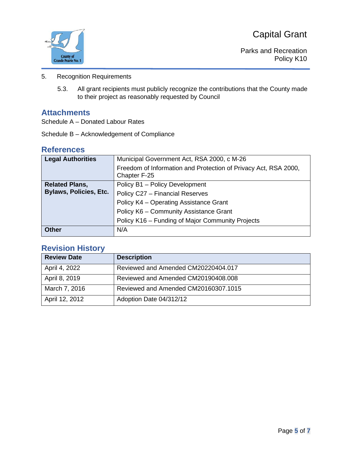

Parks and Recreation Policy K10

- 5. Recognition Requirements
	- 5.3. All grant recipients must publicly recognize the contributions that the County made to their project as reasonably requested by Council

#### **Attachments**

Schedule A – Donated Labour Rates

Schedule B – Acknowledgement of Compliance

#### **References**

| <b>Legal Authorities</b>      | Municipal Government Act, RSA 2000, c M-26                                      |
|-------------------------------|---------------------------------------------------------------------------------|
|                               | Freedom of Information and Protection of Privacy Act, RSA 2000,<br>Chapter F-25 |
| <b>Related Plans,</b>         | Policy B1 - Policy Development                                                  |
| <b>Bylaws, Policies, Etc.</b> | Policy C27 - Financial Reserves                                                 |
|                               | Policy K4 - Operating Assistance Grant                                          |
|                               | Policy K6 - Community Assistance Grant                                          |
|                               | Policy K16 - Funding of Major Community Projects                                |
| <b>Other</b>                  | N/A                                                                             |

## **Revision History**

| <b>Review Date</b> | <b>Description</b>                   |
|--------------------|--------------------------------------|
| April 4, 2022      | Reviewed and Amended CM20220404.017  |
| April 8, 2019      | Reviewed and Amended CM20190408.008  |
| March 7, 2016      | Reviewed and Amended CM20160307.1015 |
| April 12, 2012     | Adoption Date 04/312/12              |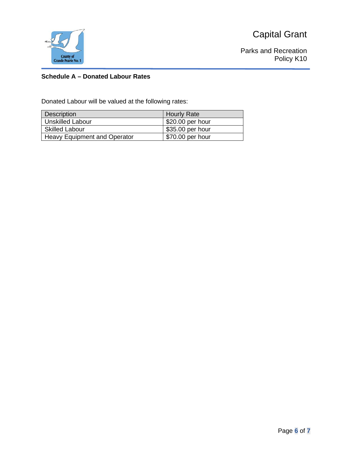



Parks and Recreation Policy K10

#### **Schedule A – Donated Labour Rates**

Donated Labour will be valued at the following rates:

| <b>Description</b>                  | <b>Hourly Rate</b> |
|-------------------------------------|--------------------|
| <b>Unskilled Labour</b>             | \$20.00 per hour   |
| <b>Skilled Labour</b>               | \$35.00 per hour   |
| <b>Heavy Equipment and Operator</b> | \$70.00 per hour   |